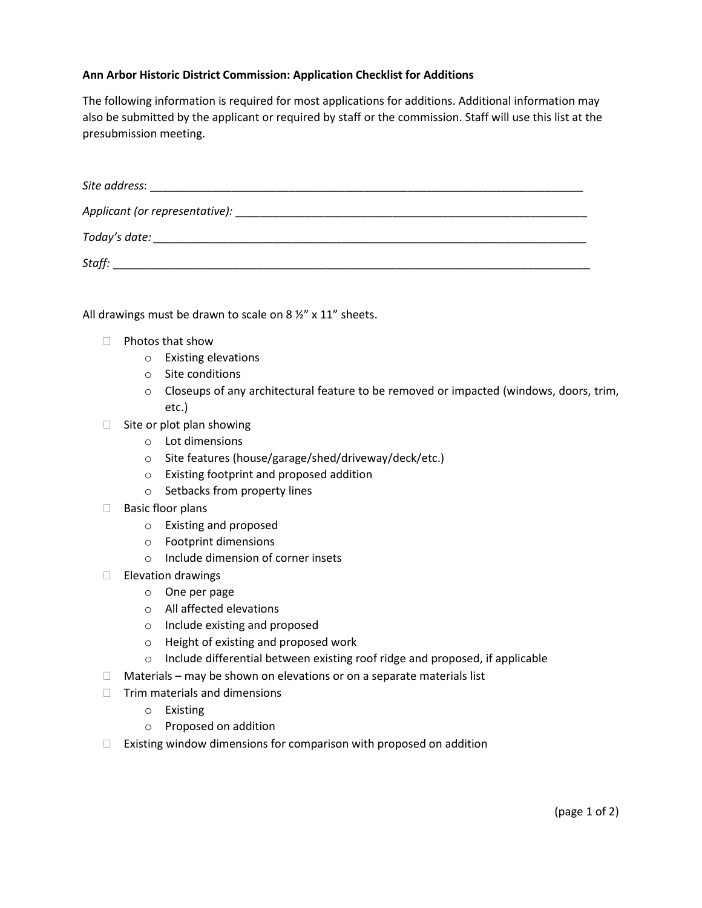## **Ann Arbor Historic District Commission: Application Checklist for Additions**

The following information is required for most applications for additions. Additional information may also be submitted by the applicant or required by staff or the commission. Staff will use this list at the presubmission meeting.

| Site address:                                                                                                                                                                                                                 |
|-------------------------------------------------------------------------------------------------------------------------------------------------------------------------------------------------------------------------------|
|                                                                                                                                                                                                                               |
| Today's date: the contract of the contract of the contract of the contract of the contract of the contract of the contract of the contract of the contract of the contract of the contract of the contract of the contract of |
| Staff:                                                                                                                                                                                                                        |

All drawings must be drawn to scale on 8  $\frac{1}{2}$ " x 11" sheets.

- $\Box$  Photos that show
	- o Existing elevations
	- o Site conditions
	- o Closeups of any architectural feature to be removed or impacted (windows, doors, trim, etc.)
- $\Box$  Site or plot plan showing
	- o Lot dimensions
	- o Site features (house/garage/shed/driveway/deck/etc.)
	- o Existing footprint and proposed addition
	- o Setbacks from property lines
- $\Box$  Basic floor plans
	- o Existing and proposed
	- o Footprint dimensions
	- o Include dimension of corner insets
- $\Box$  Elevation drawings
	- o One per page
	- o All affected elevations
	- o Include existing and proposed
	- o Height of existing and proposed work
	- o Include differential between existing roof ridge and proposed, if applicable
- $\Box$  Materials may be shown on elevations or on a separate materials list
- $\Box$  Trim materials and dimensions
	- o Existing
	- o Proposed on addition
- $\Box$  Existing window dimensions for comparison with proposed on addition